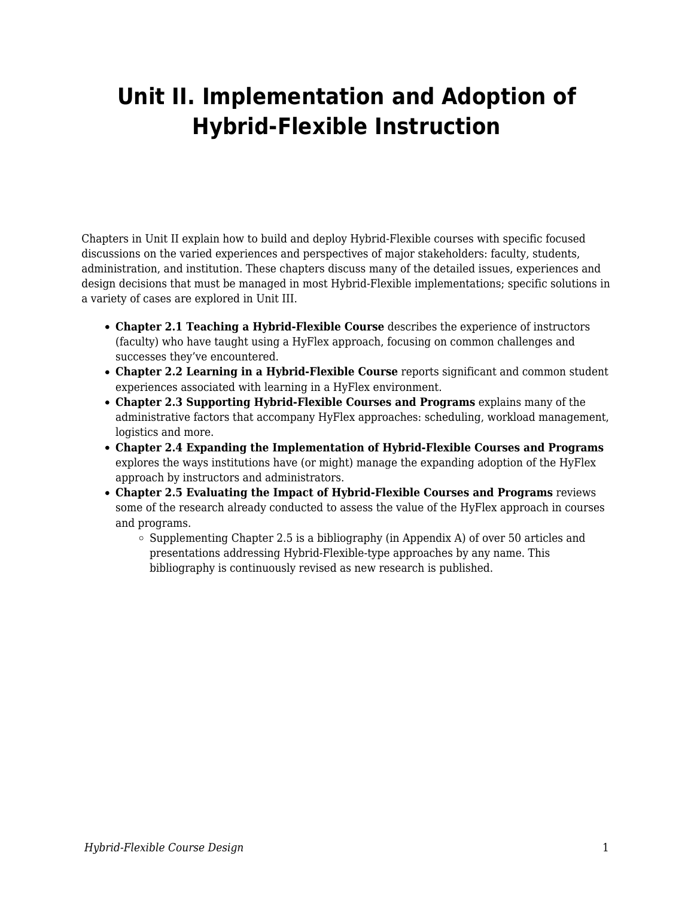## **Unit II. Implementation and Adoption of Hybrid-Flexible Instruction**

Chapters in Unit II explain how to build and deploy Hybrid-Flexible courses with specific focused discussions on the varied experiences and perspectives of major stakeholders: faculty, students, administration, and institution. These chapters discuss many of the detailed issues, experiences and design decisions that must be managed in most Hybrid-Flexible implementations; specific solutions in a variety of cases are explored in Unit III.

- **Chapter 2.1 Teaching a Hybrid-Flexible Course** describes the experience of instructors (faculty) who have taught using a HyFlex approach, focusing on common challenges and successes they've encountered.
- **Chapter 2.2 Learning in a Hybrid-Flexible Course** reports significant and common student experiences associated with learning in a HyFlex environment.
- **Chapter 2.3 Supporting Hybrid-Flexible Courses and Programs** explains many of the administrative factors that accompany HyFlex approaches: scheduling, workload management, logistics and more.
- **Chapter 2.4 Expanding the Implementation of Hybrid-Flexible Courses and Programs** explores the ways institutions have (or might) manage the expanding adoption of the HyFlex approach by instructors and administrators.
- **Chapter 2.5 Evaluating the Impact of Hybrid-Flexible Courses and Programs** reviews some of the research already conducted to assess the value of the HyFlex approach in courses and programs.
	- $\circ$  Supplementing Chapter 2.5 is a bibliography (in Appendix A) of over 50 articles and presentations addressing Hybrid-Flexible-type approaches by any name. This bibliography is continuously revised as new research is published.